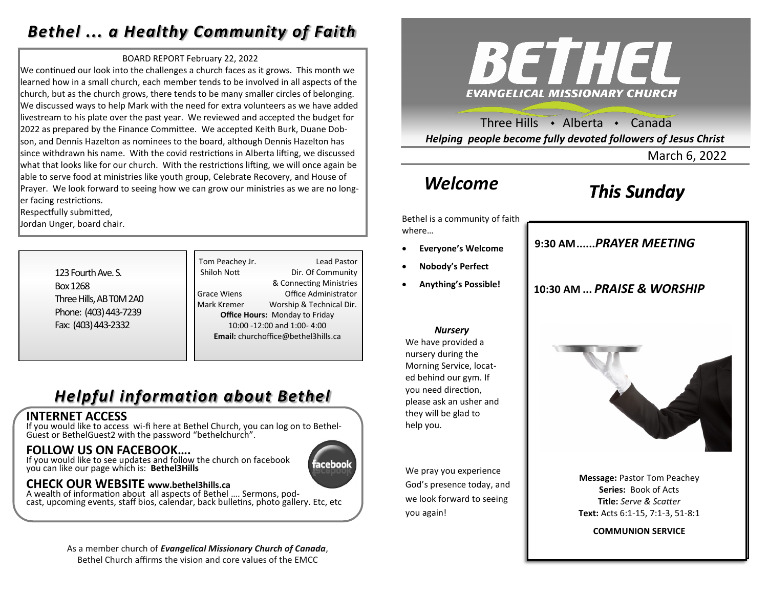### *Bethel ... a Healthy Community of Faith*

#### BOARD REPORT February 22, 2022

We continued our look into the challenges a church faces as it grows. This month we learned how in a small church, each member tends to be involved in all aspects of the church, but as the church grows, there tends to be many smaller circles of belonging. We discussed ways to help Mark with the need for extra volunteers as we have added livestream to his plate over the past year. We reviewed and accepted the budget for 2022 as prepared by the Finance Committee. We accepted Keith Burk, Duane Dobson, and Dennis Hazelton as nominees to the board, although Dennis Hazelton has since withdrawn his name. With the covid restrictions in Alberta lifting, we discussed what that looks like for our church. With the restrictions lifting, we will once again be able to serve food at ministries like youth group, Celebrate Recovery, and House of Prayer. We look forward to seeing how we can grow our ministries as we are no longer facing restrictions.

Respectfully submitted,

Jordan Unger, board chair.

| 123 Fourth Ave. S.      |
|-------------------------|
|                         |
| Box 1268                |
| Three Hills, AB TOM 2A0 |
| Phone: (403) 443-7239   |
| Fax: (403) 443-2332     |

Tom Peachey Jr. **Lead Pastor** Shiloh Nott Dir. Of Community & Connecting Ministries Grace Wiens Office Administrator Mark Kremer Worship & Technical Dir. **Office Hours:** Monday to Friday 10:00 -12:00 and 1:00- 4:00 **Email:** churchoffice@bethel3hills.ca

## *Helpful information about Bethel*

### **INTERNET ACCESS**

If you would like to access wi-fi here at Bethel Church, you can log on to Bethel-Guest or BethelGuest2 with the password "bethelchurch".

### **FOLLOW US ON FACEBOOK….**

If you would like to see updates and follow the church on facebook you can like our page which is: **Bethel3Hills**

### **CHECK OUR WEBSITE www.bethel3hills.ca**

A wealth of information about all aspects of Bethel …. Sermons, podcast, upcoming events, staff bios, calendar, back bulletins, photo gallery. Etc, etc

#### As a member church of *Evangelical Missionary Church of Canada*, Bethel Church affirms the vision and core values of the EMCC



Three Hills  $\cdot$  Alberta  $\cdot$  Canada *Helping people become fully devoted followers of Jesus Christ*

March 6, 2022

### *Welcome*

## *This Sunday*

Bethel is a community of faith where…

- **Everyone's Welcome**
- **Nobody's Perfect**
- **Anything's Possible!**

#### *Nursery*

We have provided a nursery during the Morning Service, located behind our gym. If you need direction, please ask an usher and they will be glad to help you.

We pray you experience God's presence today, and we look forward to seeing you again!

**9:30 AM......***SUNDAY SCHOOL* **9:30 AM......***PRAYER MEETING* 

**10:30 AM ...** *PRAISE & WORSHIP* 



**Message:** Pastor Tom Peachey **Series:** Book of Acts **Title:** *Serve & Scatter* **Text:** Acts 6:1-15, 7:1-3, 51-8:1

**COMMUNION SERVICE**